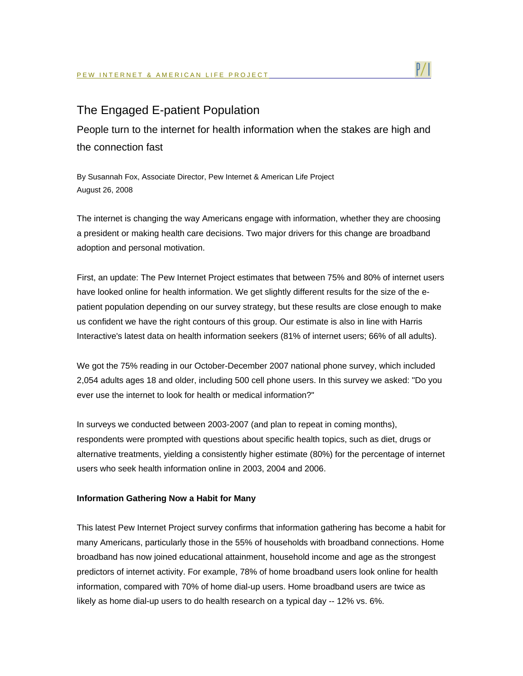

## The Engaged E-patient Population

People turn to the internet for health information when the stakes are high and the connection fast

By Susannah Fox, Associate Director, Pew Internet & American Life Project August 26, 2008

The internet is changing the way Americans engage with information, whether they are choosing a president or making health care decisions. Two major drivers for this change are broadband adoption and personal motivation.

First, an update: The Pew Internet Project estimates that between 75% and 80% of internet users have looked online for health information. We get slightly different results for the size of the epatient population depending on our survey strategy, but these results are close enough to make us confident we have the right contours of this group. Our estimate is also in line with Harris Interactive's latest data on health information seekers (81% of internet users; 66% of all adults).

We got the 75% reading in our October-December 2007 national phone survey, which included 2,054 adults ages 18 and older, including 500 cell phone users. In this survey we asked: "Do you ever use the internet to look for health or medical information?"

In surveys we conducted between 2003-2007 (and plan to repeat in coming months), respondents were prompted with questions about specific health topics, such as diet, drugs or alternative treatments, yielding a consistently higher estimate (80%) for the percentage of internet users who seek health information online in 2003, 2004 and 2006.

## **Information Gathering Now a Habit for Many**

This latest Pew Internet Project survey confirms that information gathering has become a habit for many Americans, particularly those in the 55% of households with broadband connections. Home broadband has now joined educational attainment, household income and age as the strongest predictors of internet activity. For example, 78% of home broadband users look online for health information, compared with 70% of home dial-up users. Home broadband users are twice as likely as home dial-up users to do health research on a typical day -- 12% vs. 6%.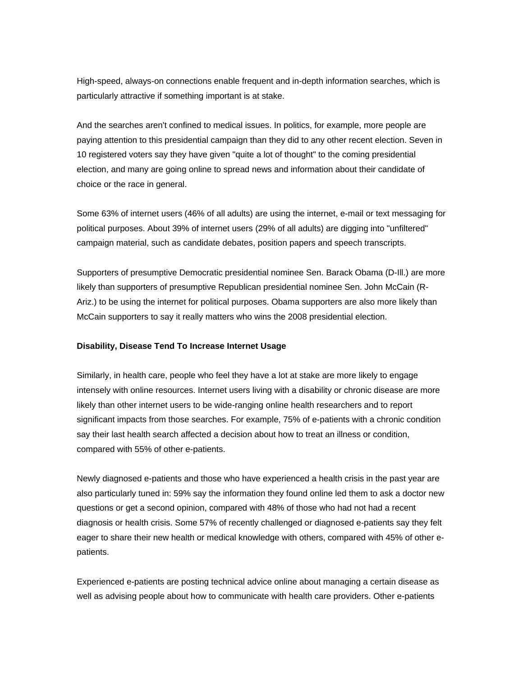High-speed, always-on connections enable frequent and in-depth information searches, which is particularly attractive if something important is at stake.

And the searches aren't confined to medical issues. In politics, for example, more people are paying attention to this presidential campaign than they did to any other recent election. Seven in 10 registered voters say they have given "quite a lot of thought" to the coming presidential election, and many are going online to spread news and information about their candidate of choice or the race in general.

Some 63% of internet users (46% of all adults) are using the internet, e-mail or text messaging for political purposes. About 39% of internet users (29% of all adults) are digging into "unfiltered" campaign material, such as candidate debates, position papers and speech transcripts.

Supporters of presumptive Democratic presidential nominee Sen. Barack Obama (D-Ill.) are more likely than supporters of presumptive Republican presidential nominee Sen. John McCain (R-Ariz.) to be using the internet for political purposes. Obama supporters are also more likely than McCain supporters to say it really matters who wins the 2008 presidential election.

## **Disability, Disease Tend To Increase Internet Usage**

Similarly, in health care, people who feel they have a lot at stake are more likely to engage intensely with online resources. Internet users living with a disability or chronic disease are more likely than other internet users to be wide-ranging online health researchers and to report significant impacts from those searches. For example, 75% of e-patients with a chronic condition say their last health search affected a decision about how to treat an illness or condition, compared with 55% of other e-patients.

Newly diagnosed e-patients and those who have experienced a health crisis in the past year are also particularly tuned in: 59% say the information they found online led them to ask a doctor new questions or get a second opinion, compared with 48% of those who had not had a recent diagnosis or health crisis. Some 57% of recently challenged or diagnosed e-patients say they felt eager to share their new health or medical knowledge with others, compared with 45% of other epatients.

Experienced e-patients are posting technical advice online about managing a certain disease as well as advising people about how to communicate with health care providers. Other e-patients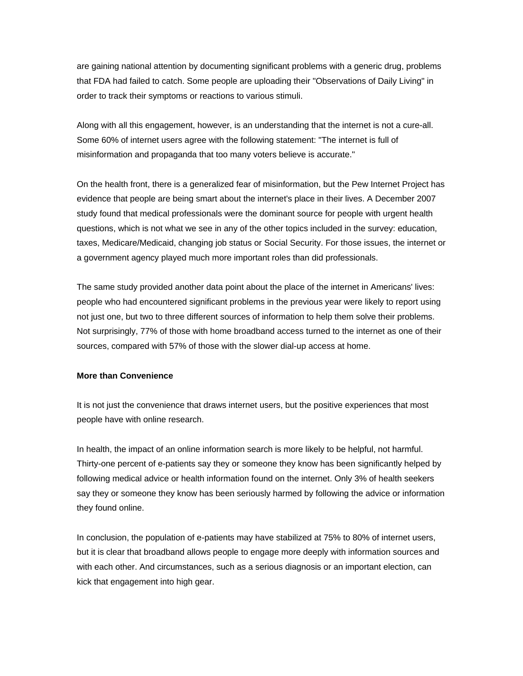are gaining national attention by documenting significant problems with a generic drug, problems that FDA had failed to catch. Some people are uploading their "Observations of Daily Living" in order to track their symptoms or reactions to various stimuli.

Along with all this engagement, however, is an understanding that the internet is not a cure-all. Some 60% of internet users agree with the following statement: "The internet is full of misinformation and propaganda that too many voters believe is accurate."

On the health front, there is a generalized fear of misinformation, but the Pew Internet Project has evidence that people are being smart about the internet's place in their lives. A December 2007 study found that medical professionals were the dominant source for people with urgent health questions, which is not what we see in any of the other topics included in the survey: education, taxes, Medicare/Medicaid, changing job status or Social Security. For those issues, the internet or a government agency played much more important roles than did professionals.

The same study provided another data point about the place of the internet in Americans' lives: people who had encountered significant problems in the previous year were likely to report using not just one, but two to three different sources of information to help them solve their problems. Not surprisingly, 77% of those with home broadband access turned to the internet as one of their sources, compared with 57% of those with the slower dial-up access at home.

## **More than Convenience**

It is not just the convenience that draws internet users, but the positive experiences that most people have with online research.

In health, the impact of an online information search is more likely to be helpful, not harmful. Thirty-one percent of e-patients say they or someone they know has been significantly helped by following medical advice or health information found on the internet. Only 3% of health seekers say they or someone they know has been seriously harmed by following the advice or information they found online.

In conclusion, the population of e-patients may have stabilized at 75% to 80% of internet users, but it is clear that broadband allows people to engage more deeply with information sources and with each other. And circumstances, such as a serious diagnosis or an important election, can kick that engagement into high gear.